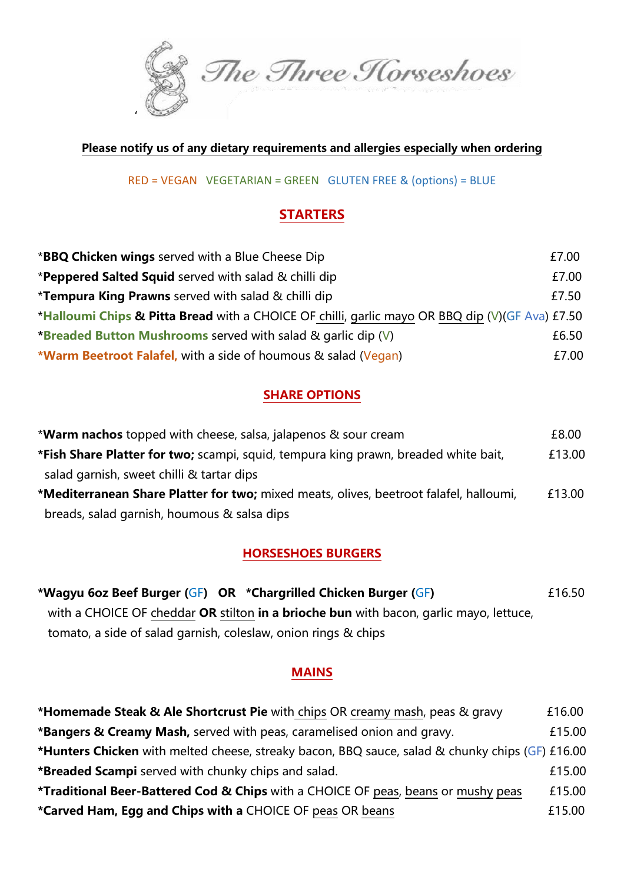

#### **Please notify us of any dietary requirements and allergies especially when ordering**

RED = VEGAN VEGETARIAN = GREEN GLUTEN FREE & (options) = BLUE

#### **STARTERS**

| <b>*BBQ Chicken wings</b> served with a Blue Cheese Dip                                         | £7.00 |  |
|-------------------------------------------------------------------------------------------------|-------|--|
| *Peppered Salted Squid served with salad & chilli dip                                           | £7.00 |  |
| <b>*Tempura King Prawns</b> served with salad & chilli dip                                      | £7.50 |  |
| *Halloumi Chips & Pitta Bread with a CHOICE OF chilli, garlic mayo OR BBQ dip (V)(GF Ava) £7.50 |       |  |
| *Breaded Button Mushrooms served with salad & garlic dip (V)                                    | £6.50 |  |
| <b>*Warm Beetroot Falafel,</b> with a side of houmous & salad (Vegan)                           | £7.00 |  |

#### **SHARE OPTIONS**

| <b>*Warm nachos</b> topped with cheese, salsa, jalapenos & sour cream                  | £8.00  |
|----------------------------------------------------------------------------------------|--------|
| *Fish Share Platter for two; scampi, squid, tempura king prawn, breaded white bait,    | £13.00 |
| salad garnish, sweet chilli & tartar dips                                              |        |
| *Mediterranean Share Platter for two; mixed meats, olives, beetroot falafel, halloumi, | £13.00 |
| breads, salad garnish, houmous & salsa dips                                            |        |

#### **HORSESHOES BURGERS**

| *Wagyu 6oz Beef Burger (GF) OR *Chargrilled Chicken Burger (GF)                        | £16.50 |
|----------------------------------------------------------------------------------------|--------|
| with a CHOICE OF cheddar OR stilton in a brioche bun with bacon, garlic mayo, lettuce, |        |
| tomato, a side of salad garnish, coleslaw, onion rings & chips                         |        |

#### **MAINS**

| <b>*Homemade Steak &amp; Ale Shortcrust Pie</b> with chips OR creamy mash, peas & gravy                | £16.00 |
|--------------------------------------------------------------------------------------------------------|--------|
| *Bangers & Creamy Mash, served with peas, caramelised onion and gravy.                                 | £15.00 |
| <b>*Hunters Chicken</b> with melted cheese, streaky bacon, BBQ sauce, salad & chunky chips (GF) £16.00 |        |
| <b>*Breaded Scampi</b> served with chunky chips and salad.                                             | £15.00 |
| *Traditional Beer-Battered Cod & Chips with a CHOICE OF peas, beans or mushy peas                      | £15.00 |
| *Carved Ham, Egg and Chips with a CHOICE OF peas OR beans                                              | £15.00 |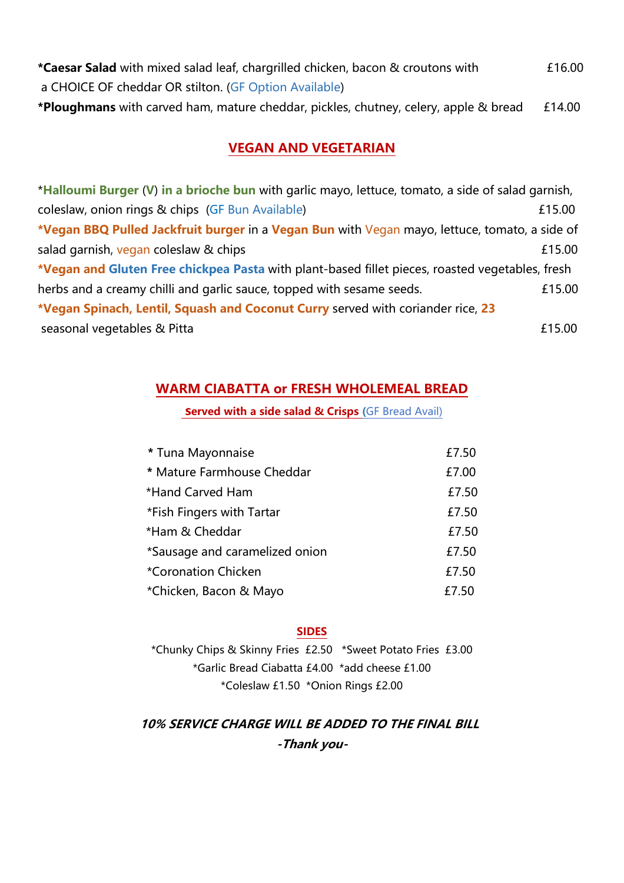| *Caesar Salad with mixed salad leaf, chargrilled chicken, bacon & croutons with             | £16.00 |
|---------------------------------------------------------------------------------------------|--------|
| a CHOICE OF cheddar OR stilton. (GF Option Available)                                       |        |
| <b>*Ploughmans</b> with carved ham, mature cheddar, pickles, chutney, celery, apple & bread | £14.00 |

#### **VEGAN AND VEGETARIAN**

| *Halloumi Burger (V) in a brioche bun with garlic mayo, lettuce, tomato, a side of salad garnish, |        |
|---------------------------------------------------------------------------------------------------|--------|
| coleslaw, onion rings & chips (GF Bun Available)                                                  | £15.00 |
| *Vegan BBQ Pulled Jackfruit burger in a Vegan Bun with Vegan mayo, lettuce, tomato, a side of     |        |
| salad garnish, vegan coleslaw & chips                                                             | £15.00 |
| *Vegan and Gluten Free chickpea Pasta with plant-based fillet pieces, roasted vegetables, fresh   |        |
| herbs and a creamy chilli and garlic sauce, topped with sesame seeds.                             | £15.00 |
| *Vegan Spinach, Lentil, Squash and Coconut Curry served with coriander rice, 23                   |        |
| seasonal vegetables & Pitta                                                                       | £15.00 |

#### **WARM CIABATTA or FRESH WHOLEMEAL BREAD**

**served with a side salad & Crisps (**GF Bread Avail)

| * Tuna Mayonnaise              | £7.50 |
|--------------------------------|-------|
| * Mature Farmhouse Cheddar     | £7.00 |
| *Hand Carved Ham               | £7.50 |
| *Fish Fingers with Tartar      | £7.50 |
| *Ham & Cheddar                 | £7.50 |
| *Sausage and caramelized onion | £7.50 |
| *Coronation Chicken            | £7.50 |
| *Chicken, Bacon & Mayo         | £7.50 |

#### **SIDES**

\*Chunky Chips & Skinny Fries £2.50 \*Sweet Potato Fries £3.00 \*Garlic Bread Ciabatta £4.00 \*add cheese £1.00 \*Coleslaw £1.50 \*Onion Rings £2.00

 **10% SERVICE CHARGE WILL BE ADDED TO THE FINAL BILL -Thank you-**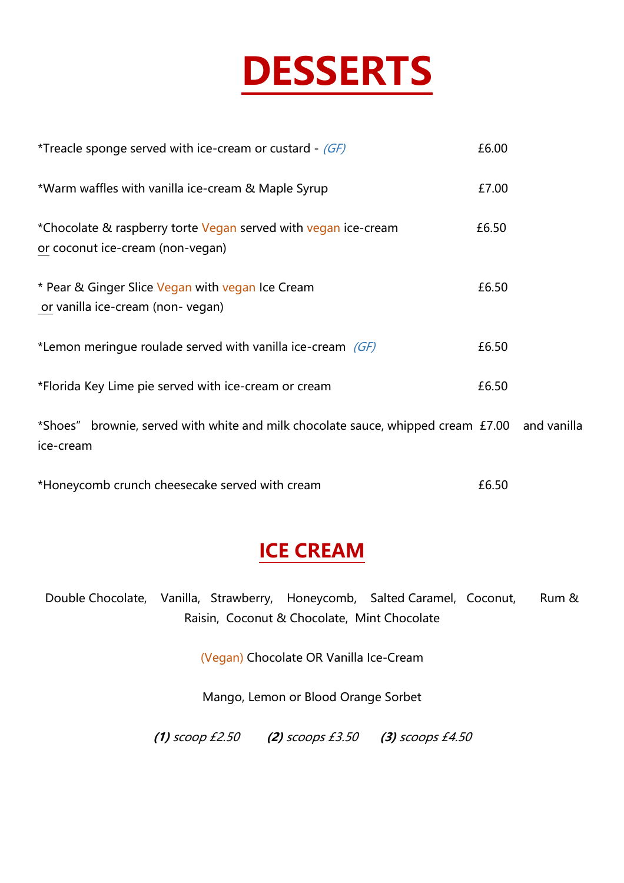

| <i>*Treacle sponge served with ice-cream or custard - <math>(GF)</math></i>                               | £6.00 |  |
|-----------------------------------------------------------------------------------------------------------|-------|--|
| *Warm waffles with vanilla ice-cream & Maple Syrup                                                        | £7.00 |  |
| *Chocolate & raspberry torte Vegan served with vegan ice-cream<br>or coconut ice-cream (non-vegan)        | £6.50 |  |
| * Pear & Ginger Slice Vegan with vegan Ice Cream<br>or vanilla ice-cream (non-vegan)                      | £6.50 |  |
| *Lemon meringue roulade served with vanilla ice-cream $(GF)$                                              | £6.50 |  |
| *Florida Key Lime pie served with ice-cream or cream                                                      | £6.50 |  |
| *Shoes" brownie, served with white and milk chocolate sauce, whipped cream £7.00 and vanilla<br>ice-cream |       |  |

| *Honeycomb crunch cheesecake served with cream | £6.50 |
|------------------------------------------------|-------|
|------------------------------------------------|-------|

### **ICE CREAM**

Double Chocolate, Vanilla, Strawberry, Honeycomb, Salted Caramel, Coconut, Rum & Raisin, Coconut & Chocolate, Mint Chocolate

(Vegan) Chocolate OR Vanilla Ice-Cream

Mango, Lemon or Blood Orange Sorbet

**(1)** scoop £2.50 **(2)** scoops £3.50 **(3)** scoops £4.50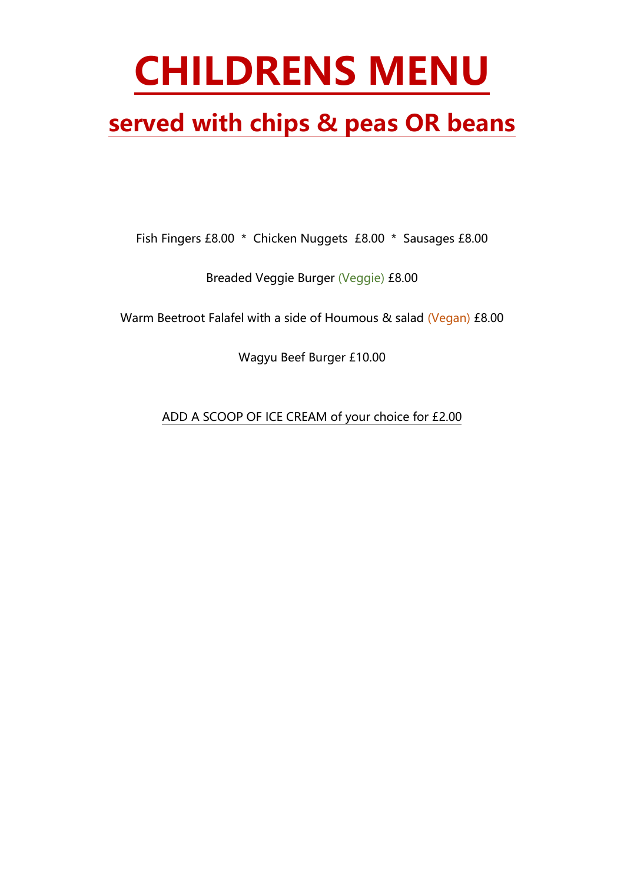# **CHILDRENS MENU**

### **served with chips & peas OR beans**

Fish Fingers £8.00 \* Chicken Nuggets £8.00 \* Sausages £8.00

Breaded Veggie Burger (Veggie) £8.00

Warm Beetroot Falafel with a side of Houmous & salad (Vegan) £8.00

Wagyu Beef Burger £10.00

ADD A SCOOP OF ICE CREAM of your choice for £2.00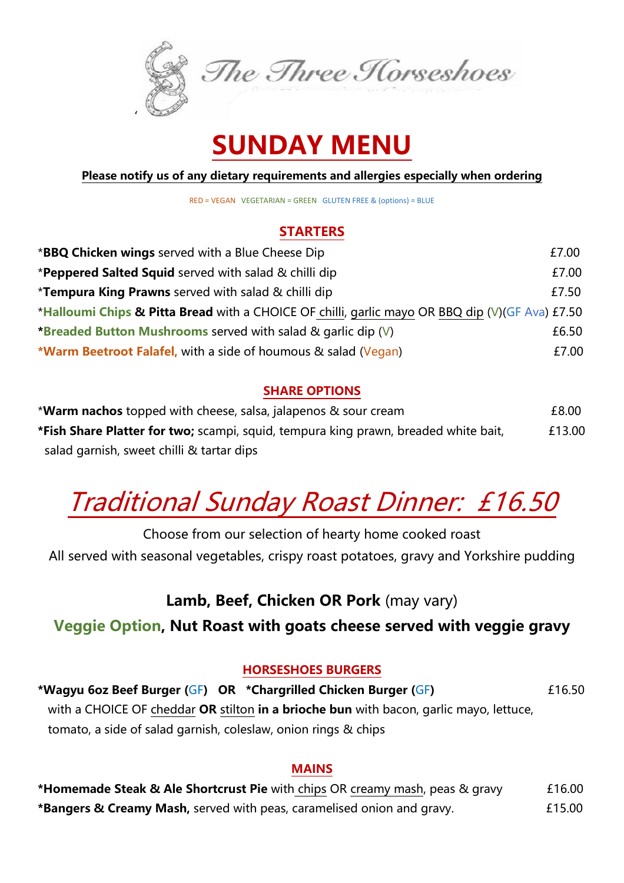

### **SUNDAY MENU**

**Please notify us of any dietary requirements and allergies especially when ordering**

RED = VEGAN VEGETARIAN = GREEN GLUTEN FREE & (options) = BLUE

#### **STARTERS**

| * <b>BBQ Chicken wings</b> served with a Blue Cheese Dip                                        | £7.00 |  |
|-------------------------------------------------------------------------------------------------|-------|--|
| *Peppered Salted Squid served with salad & chilli dip                                           | £7.00 |  |
| <i>*</i> Tempura King Prawns served with salad & chilli dip                                     | £7.50 |  |
| *Halloumi Chips & Pitta Bread with a CHOICE OF chilli, garlic mayo OR BBQ dip (V)(GF Ava) £7.50 |       |  |
| *Breaded Button Mushrooms served with salad & garlic dip (V)                                    | £6.50 |  |
| <b>*Warm Beetroot Falafel, with a side of houmous &amp; salad (Vegan)</b>                       | £7.00 |  |

#### **SHARE OPTIONS**

\***Warm nachos** topped with cheese, salsa, jalapenos & sour cream £8.00 **\*Fish Share Platter for two;** scampi, squid, tempura king prawn, breaded white bait, £13.00 salad garnish, sweet chilli & tartar dips

## Traditional Sunday Roast Dinner: £16.50

Choose from our selection of hearty home cooked roast

All served with seasonal vegetables, crispy roast potatoes, gravy and Yorkshire pudding

#### **Lamb, Beef, Chicken OR Pork** (may vary)

#### **Veggie Option, Nut Roast with goats cheese served with veggie gravy**

#### **HORSESHOES BURGERS**

**\*Wagyu 6oz Beef Burger (**GF**) OR \*Chargrilled Chicken Burger (**GF**)** £16.50 with a CHOICE OF cheddar **OR** stilton **in a brioche bun** with bacon, garlic mayo, lettuce, tomato, a side of salad garnish, coleslaw, onion rings & chips

#### **MAINS**

**\*Homemade Steak & Ale Shortcrust Pie** with chips OR creamy mash, peas & gravy £16.00 **\*Bangers & Creamy Mash,** served with peas, caramelised onion and gravy. £15.00